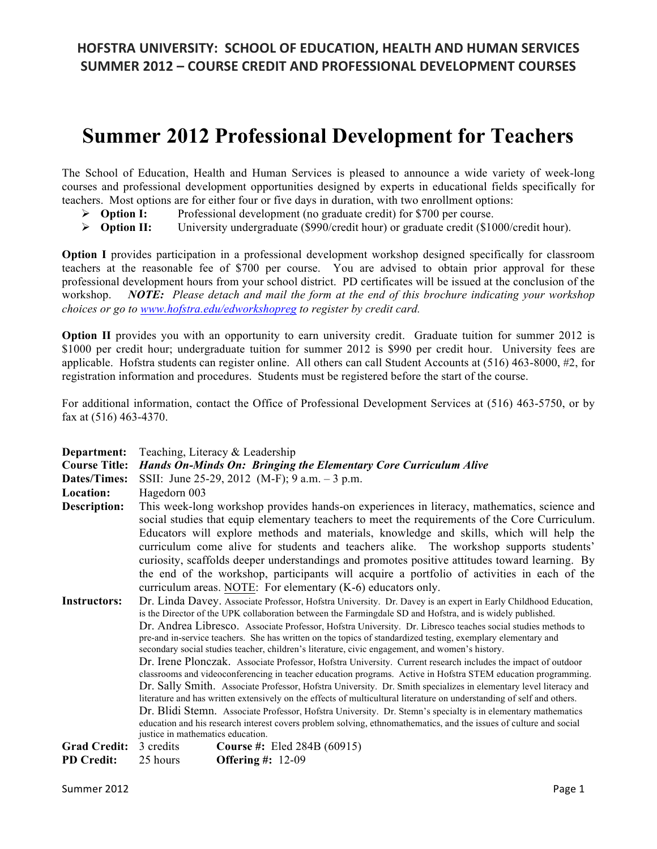# **Summer 2012 Professional Development for Teachers**

The School of Education, Health and Human Services is pleased to announce a wide variety of week-long courses and professional development opportunities designed by experts in educational fields specifically for teachers. Most options are for either four or five days in duration, with two enrollment options:

- **Option I:** Professional development (no graduate credit) for \$700 per course.
- **Option II:** University undergraduate (\$990/credit hour) or graduate credit (\$1000/credit hour).

**Option I** provides participation in a professional development workshop designed specifically for classroom teachers at the reasonable fee of \$700 per course. You are advised to obtain prior approval for these professional development hours from your school district. PD certificates will be issued at the conclusion of the workshop. *NOTE: Please detach and mail the form at the end of this brochure indicating your workshop choices or go to www.hofstra.edu/edworkshopreg to register by credit card.* 

**Option II** provides you with an opportunity to earn university credit. Graduate tuition for summer 2012 is \$1000 per credit hour; undergraduate tuition for summer 2012 is \$990 per credit hour. University fees are applicable. Hofstra students can register online. All others can call Student Accounts at (516) 463-8000, #2, for registration information and procedures. Students must be registered before the start of the course.

For additional information, contact the Office of Professional Development Services at (516) 463-5750, or by fax at (516) 463-4370.

| Department:          | Teaching, Literacy & Leadership                                                                                                                                                                                                                                                                                                                                                                                                                                                                                                                                                             |                                                                                                                                                                                                                                                                                                                                                                                                                                                             |  |
|----------------------|---------------------------------------------------------------------------------------------------------------------------------------------------------------------------------------------------------------------------------------------------------------------------------------------------------------------------------------------------------------------------------------------------------------------------------------------------------------------------------------------------------------------------------------------------------------------------------------------|-------------------------------------------------------------------------------------------------------------------------------------------------------------------------------------------------------------------------------------------------------------------------------------------------------------------------------------------------------------------------------------------------------------------------------------------------------------|--|
| <b>Course Title:</b> | Hands On-Minds On: Bringing the Elementary Core Curriculum Alive                                                                                                                                                                                                                                                                                                                                                                                                                                                                                                                            |                                                                                                                                                                                                                                                                                                                                                                                                                                                             |  |
| Dates/Times:         | SSII: June 25-29, 2012 (M-F); 9 a.m. - 3 p.m.                                                                                                                                                                                                                                                                                                                                                                                                                                                                                                                                               |                                                                                                                                                                                                                                                                                                                                                                                                                                                             |  |
| Location:            | Hagedorn 003                                                                                                                                                                                                                                                                                                                                                                                                                                                                                                                                                                                |                                                                                                                                                                                                                                                                                                                                                                                                                                                             |  |
| Description:         | This week-long workshop provides hands-on experiences in literacy, mathematics, science and<br>social studies that equip elementary teachers to meet the requirements of the Core Curriculum.<br>Educators will explore methods and materials, knowledge and skills, which will help the<br>curriculum come alive for students and teachers alike. The workshop supports students'<br>curiosity, scaffolds deeper understandings and promotes positive attitudes toward learning. By                                                                                                        |                                                                                                                                                                                                                                                                                                                                                                                                                                                             |  |
|                      | the end of the workshop, participants will acquire a portfolio of activities in each of the<br>curriculum areas. NOTE: For elementary $(K-6)$ educators only.                                                                                                                                                                                                                                                                                                                                                                                                                               |                                                                                                                                                                                                                                                                                                                                                                                                                                                             |  |
| <b>Instructors:</b>  |                                                                                                                                                                                                                                                                                                                                                                                                                                                                                                                                                                                             | Dr. Linda Davey. Associate Professor, Hofstra University. Dr. Davey is an expert in Early Childhood Education,<br>is the Director of the UPK collaboration between the Farmingdale SD and Hofstra, and is widely published.<br>Dr. Andrea Libresco. Associate Professor, Hofstra University. Dr. Libresco teaches social studies methods to<br>pre-and in-service teachers. She has written on the topics of standardized testing, exemplary elementary and |  |
|                      |                                                                                                                                                                                                                                                                                                                                                                                                                                                                                                                                                                                             | secondary social studies teacher, children's literature, civic engagement, and women's history.                                                                                                                                                                                                                                                                                                                                                             |  |
|                      | Dr. Irene Plonczak. Associate Professor, Hofstra University. Current research includes the impact of outdoor<br>classrooms and videoconferencing in teacher education programs. Active in Hofstra STEM education programming.<br>Dr. Sally Smith. Associate Professor, Hofstra University. Dr. Smith specializes in elementary level literacy and<br>literature and has written extensively on the effects of multicultural literature on understanding of self and others.<br>Dr. Blidi Stemn. Associate Professor, Hofstra University. Dr. Stemn's specialty is in elementary mathematics |                                                                                                                                                                                                                                                                                                                                                                                                                                                             |  |
|                      | education and his research interest covers problem solving, ethnomathematics, and the issues of culture and social                                                                                                                                                                                                                                                                                                                                                                                                                                                                          |                                                                                                                                                                                                                                                                                                                                                                                                                                                             |  |
| <b>Grad Credit:</b>  | justice in mathematics education.<br>3 credits                                                                                                                                                                                                                                                                                                                                                                                                                                                                                                                                              | <b>Course #:</b> Eled 284B $(60915)$                                                                                                                                                                                                                                                                                                                                                                                                                        |  |
|                      |                                                                                                                                                                                                                                                                                                                                                                                                                                                                                                                                                                                             |                                                                                                                                                                                                                                                                                                                                                                                                                                                             |  |
| <b>PD Credit:</b>    | 25 hours                                                                                                                                                                                                                                                                                                                                                                                                                                                                                                                                                                                    | Offering $\#$ : 12-09                                                                                                                                                                                                                                                                                                                                                                                                                                       |  |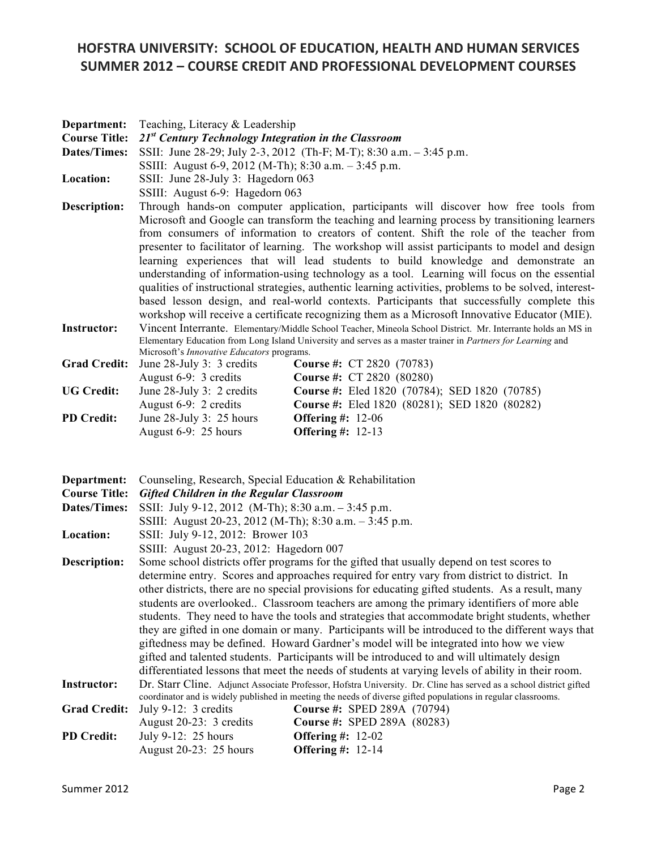| Department:                         | Teaching, Literacy & Leadership                                                                                                                                                                                                                                                                                                                                                     |  |  |  |
|-------------------------------------|-------------------------------------------------------------------------------------------------------------------------------------------------------------------------------------------------------------------------------------------------------------------------------------------------------------------------------------------------------------------------------------|--|--|--|
| <b>Course Title:</b>                | $21st$ Century Technology Integration in the Classroom                                                                                                                                                                                                                                                                                                                              |  |  |  |
| <b>Dates/Times:</b>                 | SSII: June 28-29; July 2-3, 2012 (Th-F; M-T); 8:30 a.m. - 3:45 p.m.                                                                                                                                                                                                                                                                                                                 |  |  |  |
|                                     | SSIII: August 6-9, 2012 (M-Th); 8:30 a.m. - 3:45 p.m.                                                                                                                                                                                                                                                                                                                               |  |  |  |
| Location:                           | SSII: June 28-July 3: Hagedorn 063                                                                                                                                                                                                                                                                                                                                                  |  |  |  |
|                                     | SSIII: August 6-9: Hagedorn 063                                                                                                                                                                                                                                                                                                                                                     |  |  |  |
| Description:                        | Through hands-on computer application, participants will discover how free tools from                                                                                                                                                                                                                                                                                               |  |  |  |
|                                     | Microsoft and Google can transform the teaching and learning process by transitioning learners<br>from consumers of information to creators of content. Shift the role of the teacher from<br>presenter to facilitator of learning. The workshop will assist participants to model and design<br>learning experiences that will lead students to build knowledge and demonstrate an |  |  |  |
|                                     | understanding of information-using technology as a tool. Learning will focus on the essential                                                                                                                                                                                                                                                                                       |  |  |  |
|                                     | qualities of instructional strategies, authentic learning activities, problems to be solved, interest-<br>based lesson design, and real-world contexts. Participants that successfully complete this<br>workshop will receive a certificate recognizing them as a Microsoft Innovative Educator (MIE).                                                                              |  |  |  |
| <b>Instructor:</b>                  | Vincent Interrante. Elementary/Middle School Teacher, Mineola School District. Mr. Interrante holds an MS in<br>Elementary Education from Long Island University and serves as a master trainer in Partners for Learning and                                                                                                                                                        |  |  |  |
| <b>Grad Credit:</b>                 | Microsoft's Innovative Educators programs.<br>Course #: CT 2820 (70783)<br>June 28-July 3: 3 credits                                                                                                                                                                                                                                                                                |  |  |  |
|                                     | August 6-9: 3 credits<br>Course #: CT 2820 (80280)                                                                                                                                                                                                                                                                                                                                  |  |  |  |
| <b>UG Credit:</b>                   | June 28-July 3: 2 credits<br>Course #: Eled 1820 (70784); SED 1820 (70785)                                                                                                                                                                                                                                                                                                          |  |  |  |
|                                     | August 6-9: 2 credits<br>Course #: Eled 1820 (80281); SED 1820 (80282)                                                                                                                                                                                                                                                                                                              |  |  |  |
| <b>PD Credit:</b>                   | June 28-July 3: 25 hours<br><b>Offering #: 12-06</b>                                                                                                                                                                                                                                                                                                                                |  |  |  |
|                                     | <b>Offering #: 12-13</b><br>August 6-9: 25 hours                                                                                                                                                                                                                                                                                                                                    |  |  |  |
|                                     |                                                                                                                                                                                                                                                                                                                                                                                     |  |  |  |
| Department:<br><b>Course Title:</b> | Counseling, Research, Special Education & Rehabilitation<br><b>Gifted Children in the Regular Classroom</b>                                                                                                                                                                                                                                                                         |  |  |  |
| <b>Dates/Times:</b>                 | SSII: July 9-12, 2012 (M-Th); 8:30 a.m. - 3:45 p.m.                                                                                                                                                                                                                                                                                                                                 |  |  |  |
|                                     | SSIII: August 20-23, 2012 (M-Th); 8:30 a.m. - 3:45 p.m.                                                                                                                                                                                                                                                                                                                             |  |  |  |
| Location:                           | SSII: July 9-12, 2012: Brower 103                                                                                                                                                                                                                                                                                                                                                   |  |  |  |
|                                     | SSIII: August 20-23, 2012: Hagedorn 007                                                                                                                                                                                                                                                                                                                                             |  |  |  |
| <b>Description:</b>                 | Some school districts offer programs for the gifted that usually depend on test scores to                                                                                                                                                                                                                                                                                           |  |  |  |
|                                     | determine entry. Scores and approaches required for entry vary from district to district. In                                                                                                                                                                                                                                                                                        |  |  |  |
|                                     | other districts, there are no special provisions for educating gifted students. As a result, many                                                                                                                                                                                                                                                                                   |  |  |  |
|                                     | students are overlooked Classroom teachers are among the primary identifiers of more able                                                                                                                                                                                                                                                                                           |  |  |  |
|                                     | students. They need to have the tools and strategies that accommodate bright students, whether                                                                                                                                                                                                                                                                                      |  |  |  |
|                                     | they are gifted in one domain or many. Participants will be introduced to the different ways that<br>giftedness may be defined. Howard Gardner's model will be integrated into how we view<br>gifted and talented students. Participants will be introduced to and will ultimately design                                                                                           |  |  |  |
|                                     |                                                                                                                                                                                                                                                                                                                                                                                     |  |  |  |
|                                     |                                                                                                                                                                                                                                                                                                                                                                                     |  |  |  |
|                                     | differentiated lessons that meet the needs of students at varying levels of ability in their room.                                                                                                                                                                                                                                                                                  |  |  |  |
| <b>Instructor:</b>                  | Dr. Starr Cline. Adjunct Associate Professor, Hofstra University. Dr. Cline has served as a school district gifted<br>coordinator and is widely published in meeting the needs of diverse gifted populations in regular classrooms.                                                                                                                                                 |  |  |  |
| <b>Grad Credit:</b>                 | July $9-12: 3$ credits<br>Course #: SPED 289A (70794)                                                                                                                                                                                                                                                                                                                               |  |  |  |
|                                     | August 20-23: 3 credits<br>Course #: SPED 289A (80283)                                                                                                                                                                                                                                                                                                                              |  |  |  |
| <b>PD Credit:</b>                   | July 9-12: 25 hours<br>Offering #: $12-02$                                                                                                                                                                                                                                                                                                                                          |  |  |  |
|                                     | <b>Offering #: 12-14</b><br>August 20-23: 25 hours                                                                                                                                                                                                                                                                                                                                  |  |  |  |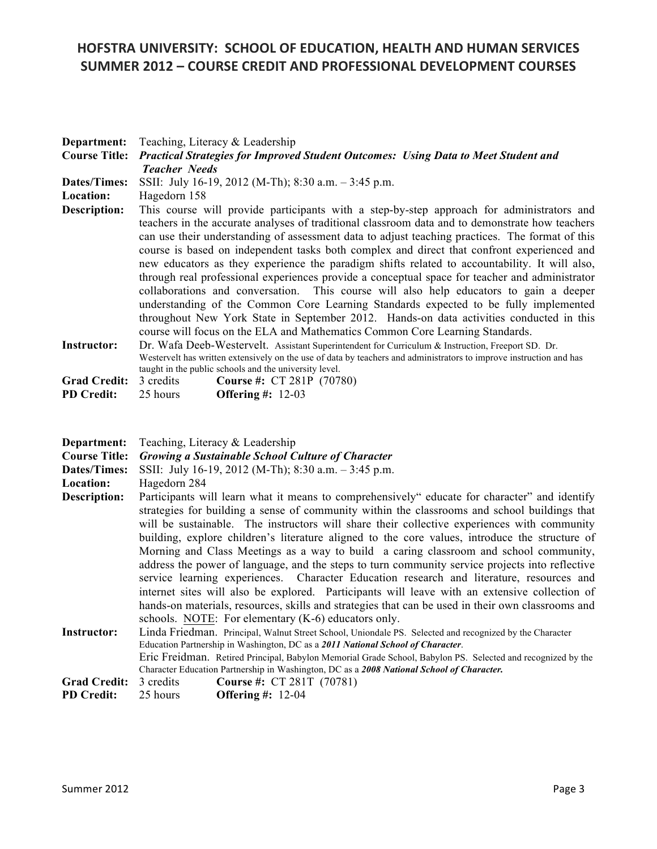| Department:<br><b>Course Title:</b><br><b>Dates/Times:</b> | Teaching, Literacy & Leadership<br>Practical Strategies for Improved Student Outcomes: Using Data to Meet Student and<br><b>Teacher Needs</b><br>SSII: July 16-19, 2012 (M-Th); 8:30 a.m. - 3:45 p.m.                                                                                                                                                                                                                                                                                                                                                                                                                                                                                                                                                                                                                                                                                                                                                                         |  |  |
|------------------------------------------------------------|-------------------------------------------------------------------------------------------------------------------------------------------------------------------------------------------------------------------------------------------------------------------------------------------------------------------------------------------------------------------------------------------------------------------------------------------------------------------------------------------------------------------------------------------------------------------------------------------------------------------------------------------------------------------------------------------------------------------------------------------------------------------------------------------------------------------------------------------------------------------------------------------------------------------------------------------------------------------------------|--|--|
| Location:<br><b>Description:</b>                           | Hagedorn 158<br>This course will provide participants with a step-by-step approach for administrators and<br>teachers in the accurate analyses of traditional classroom data and to demonstrate how teachers<br>can use their understanding of assessment data to adjust teaching practices. The format of this<br>course is based on independent tasks both complex and direct that confront experienced and<br>new educators as they experience the paradigm shifts related to accountability. It will also,<br>through real professional experiences provide a conceptual space for teacher and administrator<br>collaborations and conversation. This course will also help educators to gain a deeper<br>understanding of the Common Core Learning Standards expected to be fully implemented<br>throughout New York State in September 2012. Hands-on data activities conducted in this<br>course will focus on the ELA and Mathematics Common Core Learning Standards. |  |  |
| <b>Instructor:</b>                                         | Dr. Wafa Deeb-Westervelt. Assistant Superintendent for Curriculum & Instruction, Freeport SD. Dr.<br>Westervelt has written extensively on the use of data by teachers and administrators to improve instruction and has<br>taught in the public schools and the university level.                                                                                                                                                                                                                                                                                                                                                                                                                                                                                                                                                                                                                                                                                            |  |  |
| <b>Grad Credit:</b><br><b>PD</b> Credit:                   | 3 credits<br>Course #: CT 281P (70780)<br>25 hours<br><b>Offering #: 12-03</b>                                                                                                                                                                                                                                                                                                                                                                                                                                                                                                                                                                                                                                                                                                                                                                                                                                                                                                |  |  |
| Department:<br><b>Course Title:</b>                        | Teaching, Literacy & Leadership<br><b>Growing a Sustainable School Culture of Character</b>                                                                                                                                                                                                                                                                                                                                                                                                                                                                                                                                                                                                                                                                                                                                                                                                                                                                                   |  |  |
| <b>Dates/Times:</b><br>Location:                           | SSII: July 16-19, 2012 (M-Th); 8:30 a.m. - 3:45 p.m.<br>Hagedorn 284                                                                                                                                                                                                                                                                                                                                                                                                                                                                                                                                                                                                                                                                                                                                                                                                                                                                                                          |  |  |
| <b>Description:</b>                                        | Participants will learn what it means to comprehensively" educate for character" and identify<br>strategies for building a sense of community within the classrooms and school buildings that<br>will be sustainable. The instructors will share their collective experiences with community<br>building, explore children's literature aligned to the core values, introduce the structure of<br>Morning and Class Meetings as a way to build a caring classroom and school community,<br>address the power of language, and the steps to turn community service projects into reflective<br>service learning experiences. Character Education research and literature, resources and<br>internet sites will also be explored. Participants will leave with an extensive collection of<br>hands-on materials, resources, skills and strategies that can be used in their own classrooms and<br>schools. NOTE: For elementary (K-6) educators only.                           |  |  |
| Instructor:                                                | Linda Friedman. Principal, Walnut Street School, Uniondale PS. Selected and recognized by the Character<br>Education Partnership in Washington, DC as a 2011 National School of Character.<br>Eric Freidman. Retired Principal, Babylon Memorial Grade School, Babylon PS. Selected and recognized by the<br>Character Education Partnership in Washington, DC as a 2008 National School of Character.                                                                                                                                                                                                                                                                                                                                                                                                                                                                                                                                                                        |  |  |

**Grad Credit:** 3 credits **Course #: CT 281T (70781)**<br>**PD Credit:** 25 hours **Offering #: 12-04** 

**PD Credit:** 25 hours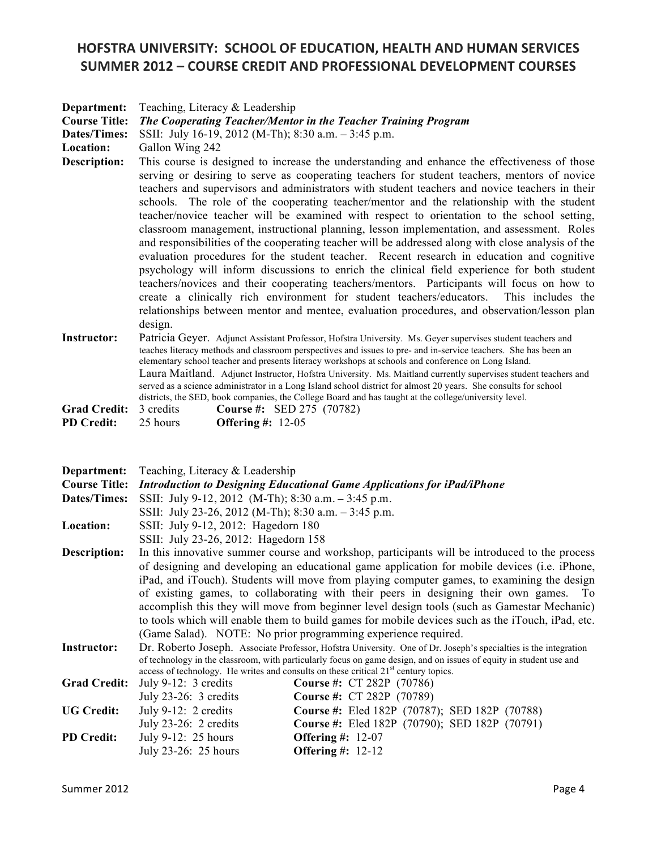| Department:<br><b>Course Title:</b><br><b>Dates/Times:</b><br>Location:<br><b>Description:</b> | Teaching, Literacy & Leadership<br>The Cooperating Teacher/Mentor in the Teacher Training Program<br>SSII: July 16-19, 2012 (M-Th); 8:30 a.m. - 3:45 p.m.<br>Gallon Wing 242<br>This course is designed to increase the understanding and enhance the effectiveness of those<br>serving or desiring to serve as cooperating teachers for student teachers, mentors of novice<br>teachers and supervisors and administrators with student teachers and novice teachers in their<br>schools. The role of the cooperating teacher/mentor and the relationship with the student<br>teacher/novice teacher will be examined with respect to orientation to the school setting,<br>classroom management, instructional planning, lesson implementation, and assessment. Roles<br>and responsibilities of the cooperating teacher will be addressed along with close analysis of the<br>evaluation procedures for the student teacher. Recent research in education and cognitive<br>psychology will inform discussions to enrich the clinical field experience for both student<br>teachers/novices and their cooperating teachers/mentors. Participants will focus on how to<br>create a clinically rich environment for student teachers/educators.<br>This includes the<br>relationships between mentor and mentee, evaluation procedures, and observation/lesson plan<br>design. |  |  |
|------------------------------------------------------------------------------------------------|--------------------------------------------------------------------------------------------------------------------------------------------------------------------------------------------------------------------------------------------------------------------------------------------------------------------------------------------------------------------------------------------------------------------------------------------------------------------------------------------------------------------------------------------------------------------------------------------------------------------------------------------------------------------------------------------------------------------------------------------------------------------------------------------------------------------------------------------------------------------------------------------------------------------------------------------------------------------------------------------------------------------------------------------------------------------------------------------------------------------------------------------------------------------------------------------------------------------------------------------------------------------------------------------------------------------------------------------------------------------------------|--|--|
| <b>Instructor:</b>                                                                             | Patricia Geyer. Adjunct Assistant Professor, Hofstra University. Ms. Geyer supervises student teachers and<br>teaches literacy methods and classroom perspectives and issues to pre- and in-service teachers. She has been an<br>elementary school teacher and presents literacy workshops at schools and conference on Long Island.<br>Laura Maitland. Adjunct Instructor, Hofstra University. Ms. Maitland currently supervises student teachers and<br>served as a science administrator in a Long Island school district for almost 20 years. She consults for school<br>districts, the SED, book companies, the College Board and has taught at the college/university level.                                                                                                                                                                                                                                                                                                                                                                                                                                                                                                                                                                                                                                                                                             |  |  |
| <b>Grad Credit:</b>                                                                            | 3 credits<br>Course #: SED 275 (70782)                                                                                                                                                                                                                                                                                                                                                                                                                                                                                                                                                                                                                                                                                                                                                                                                                                                                                                                                                                                                                                                                                                                                                                                                                                                                                                                                         |  |  |
| <b>PD</b> Credit:                                                                              | 25 hours<br><b>Offering #: 12-05</b>                                                                                                                                                                                                                                                                                                                                                                                                                                                                                                                                                                                                                                                                                                                                                                                                                                                                                                                                                                                                                                                                                                                                                                                                                                                                                                                                           |  |  |
| Department:                                                                                    | Teaching, Literacy & Leadership                                                                                                                                                                                                                                                                                                                                                                                                                                                                                                                                                                                                                                                                                                                                                                                                                                                                                                                                                                                                                                                                                                                                                                                                                                                                                                                                                |  |  |
| <b>Course Title:</b>                                                                           | Introduction to Designing Educational Game Applications for iPad/iPhone                                                                                                                                                                                                                                                                                                                                                                                                                                                                                                                                                                                                                                                                                                                                                                                                                                                                                                                                                                                                                                                                                                                                                                                                                                                                                                        |  |  |
| Dates/Times:                                                                                   | SSII: July 9-12, 2012 (M-Th); 8:30 a.m. - 3:45 p.m.<br>SSII: July 23-26, 2012 (M-Th); 8:30 a.m. - 3:45 p.m.                                                                                                                                                                                                                                                                                                                                                                                                                                                                                                                                                                                                                                                                                                                                                                                                                                                                                                                                                                                                                                                                                                                                                                                                                                                                    |  |  |
| Location:                                                                                      | SSII: July 9-12, 2012: Hagedorn 180                                                                                                                                                                                                                                                                                                                                                                                                                                                                                                                                                                                                                                                                                                                                                                                                                                                                                                                                                                                                                                                                                                                                                                                                                                                                                                                                            |  |  |
|                                                                                                | SSII: July 23-26, 2012: Hagedorn 158                                                                                                                                                                                                                                                                                                                                                                                                                                                                                                                                                                                                                                                                                                                                                                                                                                                                                                                                                                                                                                                                                                                                                                                                                                                                                                                                           |  |  |
| <b>Description:</b>                                                                            | In this innovative summer course and workshop, participants will be introduced to the process                                                                                                                                                                                                                                                                                                                                                                                                                                                                                                                                                                                                                                                                                                                                                                                                                                                                                                                                                                                                                                                                                                                                                                                                                                                                                  |  |  |
|                                                                                                | of designing and developing an educational game application for mobile devices (i.e. iPhone,                                                                                                                                                                                                                                                                                                                                                                                                                                                                                                                                                                                                                                                                                                                                                                                                                                                                                                                                                                                                                                                                                                                                                                                                                                                                                   |  |  |
|                                                                                                | iPad, and iTouch). Students will move from playing computer games, to examining the design                                                                                                                                                                                                                                                                                                                                                                                                                                                                                                                                                                                                                                                                                                                                                                                                                                                                                                                                                                                                                                                                                                                                                                                                                                                                                     |  |  |
|                                                                                                | of existing games, to collaborating with their peers in designing their own games.<br>To                                                                                                                                                                                                                                                                                                                                                                                                                                                                                                                                                                                                                                                                                                                                                                                                                                                                                                                                                                                                                                                                                                                                                                                                                                                                                       |  |  |
|                                                                                                | accomplish this they will move from beginner level design tools (such as Gamestar Mechanic)<br>to tools which will enable them to build games for mobile devices such as the iTouch, iPad, etc.<br>(Game Salad). NOTE: No prior programming experience required.                                                                                                                                                                                                                                                                                                                                                                                                                                                                                                                                                                                                                                                                                                                                                                                                                                                                                                                                                                                                                                                                                                               |  |  |

**Instructor:** Dr. Roberto Joseph. Associate Professor, Hofstra University. One of Dr. Joseph's specialties is the integration of technology in the classroom, with particularly focus on game design, and on issues of equity in student use and access of technology. He writes and consults on these critical 21<sup>st</sup> century topics.

|                   | Grad Credit: July 9-12: 3 credits | <b>Course #: CT 282P (70786)</b>              |
|-------------------|-----------------------------------|-----------------------------------------------|
|                   | July 23-26: 3 credits             | <b>Course #: CT 282P (70789)</b>              |
| <b>UG Credit:</b> | July 9-12: 2 credits              | Course #: Eled 182P (70787); SED 182P (70788) |
|                   | July $23-26$ : 2 credits          | Course #: Eled 182P (70790); SED 182P (70791) |
| <b>PD Credit:</b> | July 9-12: $25$ hours             | Offering #: $12-07$                           |
|                   | July 23-26: 25 hours              | Offering $\#$ : 12-12                         |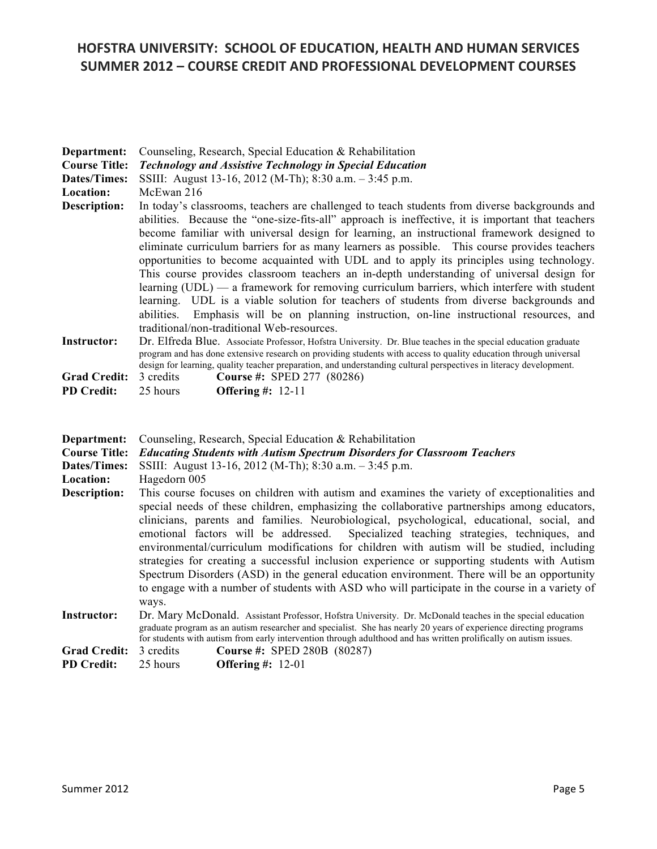| Department:<br><b>Course Title:</b><br>Dates/Times:<br>Location: | Counseling, Research, Special Education & Rehabilitation<br><b>Technology and Assistive Technology in Special Education</b><br>SSIII: August 13-16, 2012 (M-Th); 8:30 a.m. - 3:45 p.m.<br>McEwan 216                                                                                                                                                                                                                                                                                                                                                                                                                                                                                                                                                                                                                                                                                                                                   |  |  |
|------------------------------------------------------------------|----------------------------------------------------------------------------------------------------------------------------------------------------------------------------------------------------------------------------------------------------------------------------------------------------------------------------------------------------------------------------------------------------------------------------------------------------------------------------------------------------------------------------------------------------------------------------------------------------------------------------------------------------------------------------------------------------------------------------------------------------------------------------------------------------------------------------------------------------------------------------------------------------------------------------------------|--|--|
| Description:                                                     | In today's classrooms, teachers are challenged to teach students from diverse backgrounds and<br>abilities. Because the "one-size-fits-all" approach is ineffective, it is important that teachers<br>become familiar with universal design for learning, an instructional framework designed to<br>eliminate curriculum barriers for as many learners as possible. This course provides teachers<br>opportunities to become acquainted with UDL and to apply its principles using technology.<br>This course provides classroom teachers an in-depth understanding of universal design for<br>learning $(UDL)$ — a framework for removing curriculum barriers, which interfere with student<br>learning. UDL is a viable solution for teachers of students from diverse backgrounds and<br>abilities.<br>Emphasis will be on planning instruction, on-line instructional resources, and<br>traditional/non-traditional Web-resources. |  |  |
| <b>Instructor:</b>                                               | Dr. Elfreda Blue. Associate Professor, Hofstra University. Dr. Blue teaches in the special education graduate<br>program and has done extensive research on providing students with access to quality education through universal<br>design for learning, quality teacher preparation, and understanding cultural perspectives in literacy development.                                                                                                                                                                                                                                                                                                                                                                                                                                                                                                                                                                                |  |  |
| <b>Grad Credit:</b>                                              | 3 credits<br><b>Course #: SPED 277 (80286)</b>                                                                                                                                                                                                                                                                                                                                                                                                                                                                                                                                                                                                                                                                                                                                                                                                                                                                                         |  |  |
| <b>PD Credit:</b>                                                | 25 hours<br><b>Offering #: 12-11</b>                                                                                                                                                                                                                                                                                                                                                                                                                                                                                                                                                                                                                                                                                                                                                                                                                                                                                                   |  |  |
| Department:<br><b>Course Title:</b><br>Dates/Times:<br>Location: | Counseling, Research, Special Education & Rehabilitation<br><b>Educating Students with Autism Spectrum Disorders for Classroom Teachers</b><br>SSIII: August 13-16, 2012 (M-Th); 8:30 a.m. - 3:45 p.m.<br>Hagedorn 005                                                                                                                                                                                                                                                                                                                                                                                                                                                                                                                                                                                                                                                                                                                 |  |  |

**Description:** This course focuses on children with autism and examines the variety of exceptionalities and special needs of these children, emphasizing the collaborative partnerships among educators, clinicians, parents and families. Neurobiological, psychological, educational, social, and emotional factors will be addressed. Specialized teaching strategies, techniques, and environmental/curriculum modifications for children with autism will be studied, including strategies for creating a successful inclusion experience or supporting students with Autism Spectrum Disorders (ASD) in the general education environment. There will be an opportunity to engage with a number of students with ASD who will participate in the course in a variety of ways.

- **Instructor:** Dr. Mary McDonald. Assistant Professor, Hofstra University. Dr. McDonald teaches in the special education graduate program as an autism researcher and specialist. She has nearly 20 years of experience directing programs for students with autism from early intervention through adulthood and has written prolifically on autism issues.
- **Grad Credit:** 3 credits **Course #:** SPED 280B (80287)
- **PD Credit:** 25 hours **Offering #:** 12-01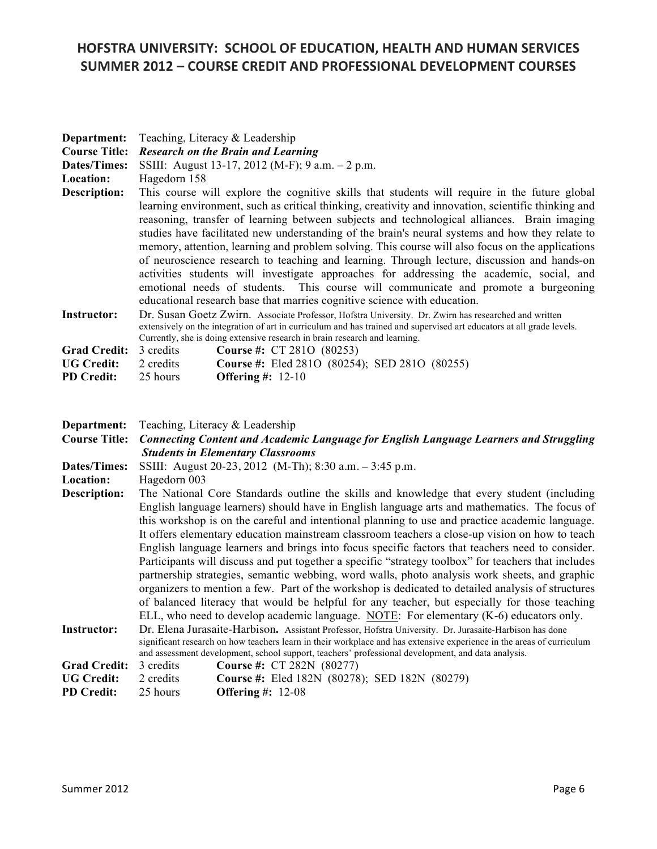| Department:<br><b>Course Title:</b> | Teaching, Literacy & Leadership<br><b>Research on the Brain and Learning</b>                                                                                                                                                                                                                                                                                                                                                                                                                                                                                                                                                                                                                                                                                                                                                                                            |                                                      |  |
|-------------------------------------|-------------------------------------------------------------------------------------------------------------------------------------------------------------------------------------------------------------------------------------------------------------------------------------------------------------------------------------------------------------------------------------------------------------------------------------------------------------------------------------------------------------------------------------------------------------------------------------------------------------------------------------------------------------------------------------------------------------------------------------------------------------------------------------------------------------------------------------------------------------------------|------------------------------------------------------|--|
| Dates/Times:<br>Location:           | SSIII: August 13-17, 2012 (M-F); 9 a.m. - 2 p.m.<br>Hagedorn 158                                                                                                                                                                                                                                                                                                                                                                                                                                                                                                                                                                                                                                                                                                                                                                                                        |                                                      |  |
| Description:                        | This course will explore the cognitive skills that students will require in the future global<br>learning environment, such as critical thinking, creativity and innovation, scientific thinking and<br>reasoning, transfer of learning between subjects and technological alliances. Brain imaging<br>studies have facilitated new understanding of the brain's neural systems and how they relate to<br>memory, attention, learning and problem solving. This course will also focus on the applications<br>of neuroscience research to teaching and learning. Through lecture, discussion and hands-on<br>activities students will investigate approaches for addressing the academic, social, and<br>emotional needs of students. This course will communicate and promote a burgeoning<br>educational research base that marries cognitive science with education. |                                                      |  |
| <b>Instructor:</b>                  | Dr. Susan Goetz Zwirn. Associate Professor, Hofstra University. Dr. Zwirn has researched and written<br>extensively on the integration of art in curriculum and has trained and supervised art educators at all grade levels.<br>Currently, she is doing extensive research in brain research and learning.                                                                                                                                                                                                                                                                                                                                                                                                                                                                                                                                                             |                                                      |  |
| <b>Grad Credit:</b>                 | 3 credits                                                                                                                                                                                                                                                                                                                                                                                                                                                                                                                                                                                                                                                                                                                                                                                                                                                               | <b>Course #: CT 2810 (80253)</b>                     |  |
| <b>UG Credit:</b>                   | 2 credits                                                                                                                                                                                                                                                                                                                                                                                                                                                                                                                                                                                                                                                                                                                                                                                                                                                               | <b>Course #:</b> Eled 2810 (80254); SED 2810 (80255) |  |
| <b>PD Credit:</b>                   | 25 hours                                                                                                                                                                                                                                                                                                                                                                                                                                                                                                                                                                                                                                                                                                                                                                                                                                                                | Offering $\#$ : 12-10                                |  |
|                                     |                                                                                                                                                                                                                                                                                                                                                                                                                                                                                                                                                                                                                                                                                                                                                                                                                                                                         | <b>Department:</b> Teaching, Literacy & Leadership   |  |

| Department:          | I eaching, Literacy & Leadership                                                                                      |                                                                                                    |  |
|----------------------|-----------------------------------------------------------------------------------------------------------------------|----------------------------------------------------------------------------------------------------|--|
| <b>Course Title:</b> | <b>Connecting Content and Academic Language for English Language Learners and Struggling</b>                          |                                                                                                    |  |
|                      |                                                                                                                       | <b>Students in Elementary Classrooms</b>                                                           |  |
| Dates/Times:         | SSIII: August 20-23, 2012 (M-Th); 8:30 a.m. - 3:45 p.m.                                                               |                                                                                                    |  |
| Location:            | Hagedorn 003                                                                                                          |                                                                                                    |  |
| Description:         | The National Core Standards outline the skills and knowledge that every student (including                            |                                                                                                    |  |
|                      |                                                                                                                       | English language learners) should have in English language arts and mathematics. The focus of      |  |
|                      | this workshop is on the careful and intentional planning to use and practice academic language.                       |                                                                                                    |  |
|                      | It offers elementary education mainstream classroom teachers a close-up vision on how to teach                        |                                                                                                    |  |
|                      | English language learners and brings into focus specific factors that teachers need to consider.                      |                                                                                                    |  |
|                      | Participants will discuss and put together a specific "strategy toolbox" for teachers that includes                   |                                                                                                    |  |
|                      | partnership strategies, semantic webbing, word walls, photo analysis work sheets, and graphic                         |                                                                                                    |  |
|                      | organizers to mention a few. Part of the workshop is dedicated to detailed analysis of structures                     |                                                                                                    |  |
|                      | of balanced literacy that would be helpful for any teacher, but especially for those teaching                         |                                                                                                    |  |
|                      | ELL, who need to develop academic language. NOTE: For elementary (K-6) educators only.                                |                                                                                                    |  |
| <b>Instructor:</b>   | Dr. Elena Jurasaite-Harbison. Assistant Professor, Hofstra University. Dr. Jurasaite-Harbison has done                |                                                                                                    |  |
|                      | significant research on how teachers learn in their workplace and has extensive experience in the areas of curriculum |                                                                                                    |  |
|                      |                                                                                                                       | and assessment development, school support, teachers' professional development, and data analysis. |  |
| <b>Grad Credit:</b>  | 3 credits                                                                                                             | <b>Course #: CT 282N (80277)</b>                                                                   |  |
| <b>UG Credit:</b>    | 2 credits                                                                                                             | <b>Course #:</b> Eled 182N (80278); SED 182N (80279)                                               |  |
| <b>PD</b> Credit:    | 25 hours                                                                                                              | <b>Offering #: 12-08</b>                                                                           |  |
|                      |                                                                                                                       |                                                                                                    |  |